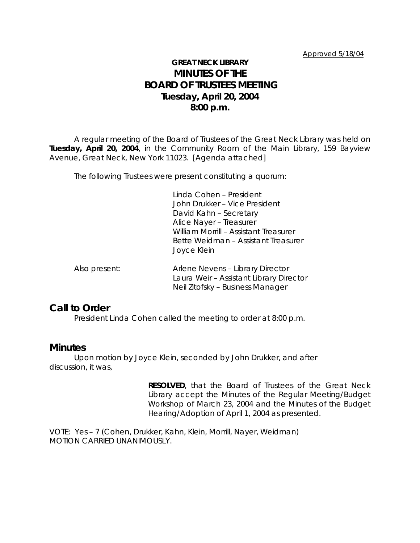#### Approved 5/18/04

# **GREAT NECK LIBRARY MINUTES OF THE BOARD OF TRUSTEES MEETING Tuesday, April 20, 2004 8:00 p.m.**

A regular meeting of the Board of Trustees of the Great Neck Library was held on **Tuesday, April 20, 2004**, in the Community Room of the Main Library, 159 Bayview Avenue, Great Neck, New York 11023. [Agenda attached]

The following Trustees were present constituting a quorum:

Linda Cohen – President John Drukker – Vice President David Kahn – Secretary Alice Nayer – Treasurer William Morrill – Assistant Treasurer Bette Weidman – Assistant Treasurer Joyce Klein

| Also present: | Arlene Nevens - Library Director        |
|---------------|-----------------------------------------|
|               | Laura Weir - Assistant Library Director |
|               | Neil Zitofsky – Business Manager        |

## **Call to Order**

President Linda Cohen called the meeting to order at 8:00 p.m.

## **Minutes**

Upon motion by Joyce Klein, seconded by John Drukker, and after discussion, it was,

> **RESOLVED**, that the Board of Trustees of the Great Neck Library accept the Minutes of the Regular Meeting/Budget Workshop of March 23, 2004 and the Minutes of the Budget Hearing/Adoption of April 1, 2004 as presented.

VOTE:Yes – 7 (Cohen, Drukker, Kahn, Klein, Morrill, Nayer, Weidman) *MOTION CARRIED UNANIMOUSLY.*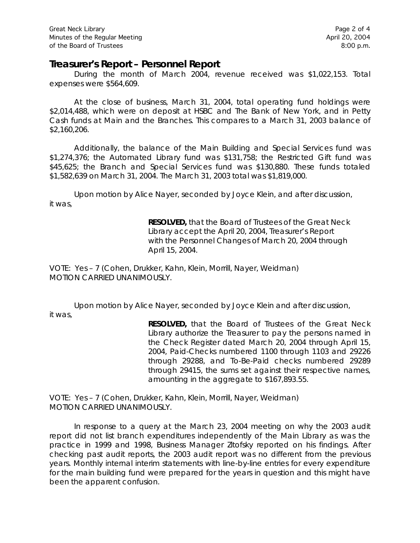## **Treasurer's Report – Personnel Report**

During the month of March 2004, revenue received was \$1,022,153. Total expenses were \$564,609.

At the close of business, March 31, 2004, total operating fund holdings were \$2,014,488, which were on deposit at HSBC and The Bank of New York, and in Petty Cash funds at Main and the Branches. This compares to a March 31, 2003 balance of \$2,160,206.

Additionally, the balance of the Main Building and Special Services fund was \$1,274,376; the Automated Library fund was \$131,758; the Restricted Gift fund was \$45,625; the Branch and Special Services fund was \$130,880. These funds totaled \$1,582,639 on March 31, 2004. The March 31, 2003 total was \$1,819,000.

Upon motion by Alice Nayer, seconded by Joyce Klein, and after discussion, it was,

> **RESOLVED,** that the Board of Trustees of the Great Neck Library accept the April 20, 2004, Treasurer's Report with the Personnel Changes of March 20, 2004 through April 15, 2004.

VOTE:Yes – 7 (Cohen, Drukker, Kahn, Klein, Morrill, Nayer, Weidman) *MOTION CARRIED UNANIMOUSLY.*

Upon motion by Alice Nayer, seconded by Joyce Klein and after discussion, it was,

> **RESOLVED,** that the Board of Trustees of the Great Neck Library authorize the Treasurer to pay the persons named in the Check Register dated March 20, 2004 through April 15, 2004, Paid-Checks numbered 1100 through 1103 and 29226 through 29288, and To-Be-Paid checks numbered 29289 through 29415, the sums set against their respective names, amounting in the aggregate to \$167,893.55.

VOTE:Yes – 7 (Cohen, Drukker, Kahn, Klein, Morrill, Nayer, Weidman) *MOTION CARRIED UNANIMOUSLY.*

In response to a query at the March 23, 2004 meeting on why the 2003 audit report did not list branch expenditures independently of the Main Library as was the practice in 1999 and 1998, Business Manager Zitofsky reported on his findings. After checking past audit reports, the 2003 audit report was no different from the previous years. Monthly internal interim statements with line-by-line entries for every expenditure for the main building fund were prepared for the years in question and this might have been the apparent confusion.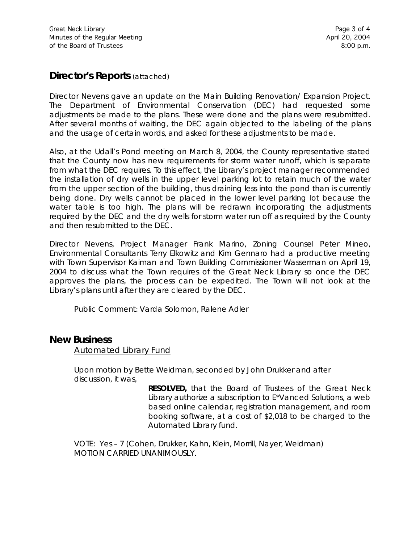# **Director's Reports** (attached)

Director Nevens gave an update on the Main Building Renovation/ Expansion Project. The Department of Environmental Conservation (DEC) had requested some adjustments be made to the plans. These were done and the plans were resubmitted. After several months of waiting, the DEC again objected to the labeling of the plans and the usage of certain words, and asked for these adjustments to be made.

Also, at the Udall's Pond meeting on March 8, 2004, the County representative stated that the County now has new requirements for storm water runoff, which is separate from what the DEC requires. To this effect, the Library's project manager recommended the installation of dry wells in the upper level parking lot to retain much of the water from the upper section of the building, thus draining less into the pond than is currently being done. Dry wells cannot be placed in the lower level parking lot because the water table is too high. The plans will be redrawn incorporating the adjustments required by the DEC and the dry wells for storm water run off as required by the County and then resubmitted to the DEC.

Director Nevens, Project Manager Frank Marino, Zoning Counsel Peter Mineo, Environmental Consultants Terry Elkowitz and Kim Gennaro had a productive meeting with Town Supervisor Kaiman and Town Building Commissioner Wasserman on April 19, 2004 to discuss what the Town requires of the Great Neck Library so once the DEC approves the plans, the process can be expedited. The Town will not look at the Library's plans until after they are cleared by the DEC.

Public Comment: Varda Solomon, Ralene Adler

## **New Business**

Automated Library Fund

Upon motion by Bette Weidman, seconded by John Drukker and after discussion, it was,

> **RESOLVED,** that the Board of Trustees of the Great Neck Library authorize a subscription to E\*Vanced Solutions, a web based online calendar, registration management, and room booking software, at a cost of \$2,018 to be charged to the Automated Library fund.

VOTE:Yes – 7 (Cohen, Drukker, Kahn, Klein, Morrill, Nayer, Weidman) *MOTION CARRIED UNANIMOUSLY.*